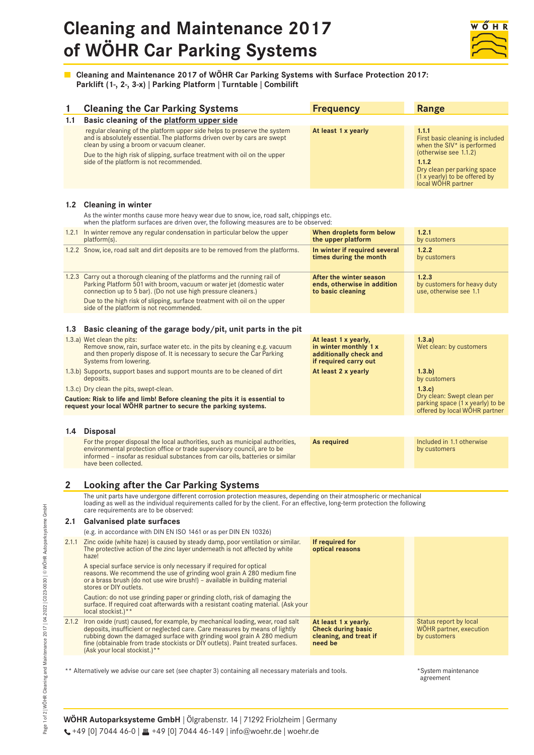# **Cleaning and Maintenance 2017 of WÖHR Car Parking Systems**



■ Cleaning and Maintenance 2017 of WÖHR Car Parking Systems with Surface Protection 2017: **Parklift (1-, 2-, 3-x) | Parking Platform | Turntable | Combilift**

| 1                                                                                                     | <b>Cleaning the Car Parking Systems</b>                                                                                                                                                                                                                                                                                                                        | <b>Frequency</b>                                                                                 | <b>Range</b>                                                                                                                                                                                                |
|-------------------------------------------------------------------------------------------------------|----------------------------------------------------------------------------------------------------------------------------------------------------------------------------------------------------------------------------------------------------------------------------------------------------------------------------------------------------------------|--------------------------------------------------------------------------------------------------|-------------------------------------------------------------------------------------------------------------------------------------------------------------------------------------------------------------|
| 1.1                                                                                                   | Basic cleaning of the platform upper side                                                                                                                                                                                                                                                                                                                      |                                                                                                  |                                                                                                                                                                                                             |
|                                                                                                       | regular cleaning of the platform upper side helps to preserve the system<br>and is absolutely essential. The platforms driven over by cars are swept<br>clean by using a broom or vacuum cleaner.<br>Due to the high risk of slipping, surface treatment with oil on the upper<br>side of the platform is not recommended.                                     | At least 1 x yearly                                                                              | 1.1.1<br>First basic cleaning is included<br>when the SIV <sup>*</sup> is performed<br>(otherwise see 1.1.2)<br>1.1.2<br>Dry clean per parking space<br>(1 x yearly) to be offered by<br>local WÖHR partner |
|                                                                                                       | 1.2 Cleaning in winter<br>As the winter months cause more heavy wear due to snow, ice, road salt, chippings etc.<br>when the platform surfaces are driven over, the following measures are to be observed:                                                                                                                                                     |                                                                                                  |                                                                                                                                                                                                             |
|                                                                                                       | 1.2.1 In winter remove any regular condensation in particular below the upper<br>platform(s).                                                                                                                                                                                                                                                                  | When droplets form below<br>the upper platform                                                   | 1.2.1<br>by customers                                                                                                                                                                                       |
|                                                                                                       | 1.2.2 Snow, ice, road salt and dirt deposits are to be removed from the platforms.                                                                                                                                                                                                                                                                             | In winter if required several<br>times during the month                                          | 1.2.2<br>by customers                                                                                                                                                                                       |
|                                                                                                       | 1.2.3 Carry out a thorough cleaning of the platforms and the running rail of<br>Parking Platform 501 with broom, vacuum or water jet (domestic water<br>connection up to 5 bar). (Do not use high pressure cleaners.)<br>Due to the high risk of slipping, surface treatment with oil on the upper<br>side of the platform is not recommended.                 | After the winter season<br>ends, otherwise in addition<br>to basic cleaning                      | 1.2.3<br>by customers for heavy duty<br>use, otherwise see 1.1                                                                                                                                              |
| 1.3                                                                                                   | Basic cleaning of the garage body/pit, unit parts in the pit                                                                                                                                                                                                                                                                                                   |                                                                                                  |                                                                                                                                                                                                             |
|                                                                                                       | 1.3.a) Wet clean the pits:<br>Remove snow, rain, surface water etc. in the pits by cleaning e.g. vacuum<br>and then properly dispose of. It is necessary to secure the Car Parking<br>Systems from lowering.                                                                                                                                                   | At least 1 x yearly,<br>in winter monthly 1 x<br>additionally check and<br>if required carry out | 1.3.a)<br>Wet clean: by customers                                                                                                                                                                           |
|                                                                                                       | 1.3.b) Supports, support bases and support mounts are to be cleaned of dirt<br>deposits.                                                                                                                                                                                                                                                                       | At least 2 x yearly                                                                              | (1.3.b)<br>by customers                                                                                                                                                                                     |
|                                                                                                       | 1.3.c) Dry clean the pits, swept-clean.<br>Caution: Risk to life and limb! Before cleaning the pits it is essential to<br>request your local WÖHR partner to secure the parking systems.                                                                                                                                                                       |                                                                                                  | 1.3.c.<br>Dry clean: Swept clean per<br>parking space (1 x yearly) to be<br>offered by local WÖHR partner                                                                                                   |
| 1.4                                                                                                   | <b>Disposal</b>                                                                                                                                                                                                                                                                                                                                                |                                                                                                  |                                                                                                                                                                                                             |
|                                                                                                       | For the proper disposal the local authorities, such as municipal authorities,<br>environmental protection office or trade supervisory council, are to be<br>informed – insofar as residual substances from car oils, batteries or similar<br>have been collected.                                                                                              | As required                                                                                      | Included in 1.1 otherwise<br>by customers                                                                                                                                                                   |
| 2                                                                                                     | <b>Looking after the Car Parking Systems</b>                                                                                                                                                                                                                                                                                                                   |                                                                                                  |                                                                                                                                                                                                             |
|                                                                                                       | The unit parts have undergone different corrosion protection measures, depending on their atmospheric or mechanical<br>loading as well as the individual requirements called for by the client. For an effective, long-term protection the following<br>care requirements are to be observed:                                                                  |                                                                                                  |                                                                                                                                                                                                             |
| 2.1                                                                                                   | <b>Galvanised plate surfaces</b>                                                                                                                                                                                                                                                                                                                               |                                                                                                  |                                                                                                                                                                                                             |
|                                                                                                       | (e.g. in accordance with DIN EN ISO 1461 or as per DIN EN 10326)                                                                                                                                                                                                                                                                                               |                                                                                                  |                                                                                                                                                                                                             |
| 2.1.1                                                                                                 | Zinc oxide (white haze) is caused by steady damp, poor ventilation or similar.<br>The protective action of the zinc layer underneath is not affected by white<br>haze!                                                                                                                                                                                         | If required for<br>optical reasons                                                               |                                                                                                                                                                                                             |
|                                                                                                       | A special surface service is only necessary if required for optical<br>reasons. We recommend the use of grinding wool grain A 280 medium fine<br>or a brass brush (do not use wire brush!) – available in building material<br>stores or DIY outlets.                                                                                                          |                                                                                                  |                                                                                                                                                                                                             |
|                                                                                                       | Caution: do not use grinding paper or grinding cloth, risk of damaging the<br>surface. If required coat afterwards with a resistant coating material. (Ask your<br>local stockist.)**                                                                                                                                                                          |                                                                                                  |                                                                                                                                                                                                             |
|                                                                                                       | 2.1.2 Iron oxide (rust) caused, for example, by mechanical loading, wear, road salt<br>deposits, insufficient or neglected care. Care measures by means of lightly<br>rubbing down the damaged surface with grinding wool grain A 280 medium<br>fine (obtainable from trade stockists or DIY outlets). Paint treated surfaces.<br>(Ask your local stockist.)** | At least 1 x yearly.<br><b>Check during basic</b><br>cleaning, and treat if<br>need be           | Status report by local<br><b>WOHR</b> partner, execution<br>by customers                                                                                                                                    |
| ** Alternatively we advise our care set (see chapter 3) containing all necessary materials and tools. |                                                                                                                                                                                                                                                                                                                                                                |                                                                                                  | *System maintenance<br>agreement                                                                                                                                                                            |

**WÖHR Autoparksysteme GmbH** | Ölgrabenstr. 14 | 71292 Friolzheim | Germany  $\leftarrow$  +49 [0] 7044 46-0 |  $\blacksquare$  +49 [0] 7044 46-149 | info@woehr.de | woehr.de